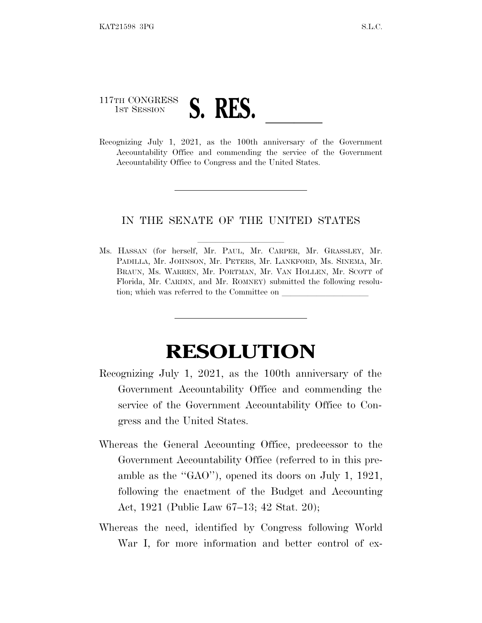## 117TH CONGRESS 117TH CONGRESS S. RES. <u>July 1, 2021</u>, as the 100th anniversary of the Government

Accountability Office and commending the service of the Government Accountability Office to Congress and the United States.

## IN THE SENATE OF THE UNITED STATES

Ms. HASSAN (for herself, Mr. PAUL, Mr. CARPER, Mr. GRASSLEY, Mr. PADILLA, Mr. JOHNSON, Mr. PETERS, Mr. LANKFORD, Ms. SINEMA, Mr. BRAUN, Ms. WARREN, Mr. PORTMAN, Mr. VAN HOLLEN, Mr. SCOTT of Florida, Mr. CARDIN, and Mr. ROMNEY) submitted the following resolution; which was referred to the Committee on

## **RESOLUTION**

- Recognizing July 1, 2021, as the 100th anniversary of the Government Accountability Office and commending the service of the Government Accountability Office to Congress and the United States.
- Whereas the General Accounting Office, predecessor to the Government Accountability Office (referred to in this preamble as the ''GAO''), opened its doors on July 1, 1921, following the enactment of the Budget and Accounting Act, 1921 (Public Law 67–13; 42 Stat. 20);
- Whereas the need, identified by Congress following World War I, for more information and better control of ex-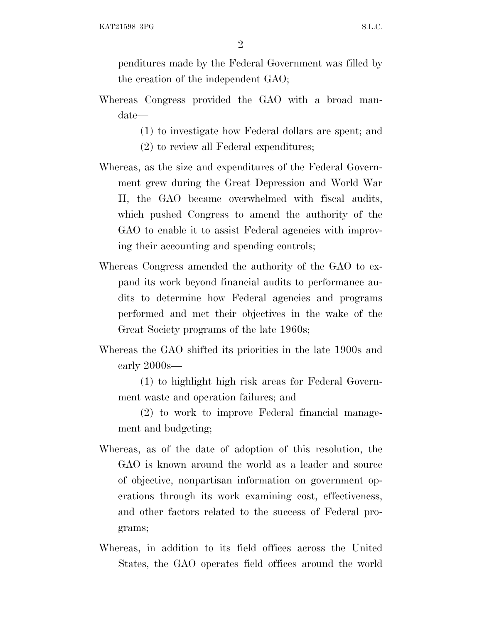2

penditures made by the Federal Government was filled by the creation of the independent GAO;

- Whereas Congress provided the GAO with a broad mandate—
	- (1) to investigate how Federal dollars are spent; and
	- (2) to review all Federal expenditures;
- Whereas, as the size and expenditures of the Federal Government grew during the Great Depression and World War II, the GAO became overwhelmed with fiscal audits, which pushed Congress to amend the authority of the GAO to enable it to assist Federal agencies with improving their accounting and spending controls;
- Whereas Congress amended the authority of the GAO to expand its work beyond financial audits to performance audits to determine how Federal agencies and programs performed and met their objectives in the wake of the Great Society programs of the late 1960s;
- Whereas the GAO shifted its priorities in the late 1900s and early 2000s—

(1) to highlight high risk areas for Federal Government waste and operation failures; and

(2) to work to improve Federal financial management and budgeting;

- Whereas, as of the date of adoption of this resolution, the GAO is known around the world as a leader and source of objective, nonpartisan information on government operations through its work examining cost, effectiveness, and other factors related to the success of Federal programs;
- Whereas, in addition to its field offices across the United States, the GAO operates field offices around the world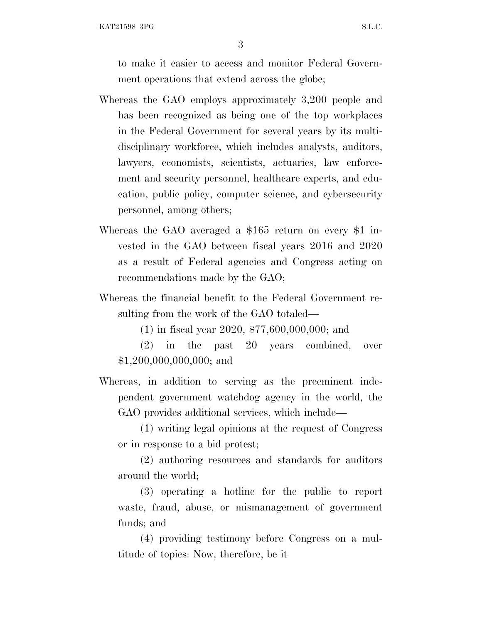KAT21598 3PG S.L.C.

3

to make it easier to access and monitor Federal Government operations that extend across the globe;

- Whereas the GAO employs approximately 3,200 people and has been recognized as being one of the top workplaces in the Federal Government for several years by its multidisciplinary workforce, which includes analysts, auditors, lawyers, economists, scientists, actuaries, law enforcement and security personnel, healthcare experts, and education, public policy, computer science, and cybersecurity personnel, among others;
- Whereas the GAO averaged a \$165 return on every \$1 invested in the GAO between fiscal years 2016 and 2020 as a result of Federal agencies and Congress acting on recommendations made by the GAO;
- Whereas the financial benefit to the Federal Government resulting from the work of the GAO totaled—

(1) in fiscal year 2020, \$77,600,000,000; and

(2) in the past 20 years combined, over \$1,200,000,000,000; and

Whereas, in addition to serving as the preeminent independent government watchdog agency in the world, the GAO provides additional services, which include—

(1) writing legal opinions at the request of Congress or in response to a bid protest;

(2) authoring resources and standards for auditors around the world;

(3) operating a hotline for the public to report waste, fraud, abuse, or mismanagement of government funds; and

(4) providing testimony before Congress on a multitude of topics: Now, therefore, be it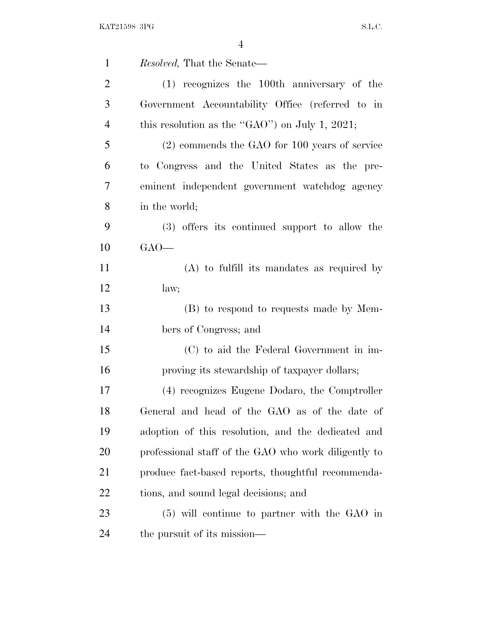| $\mathbf{1}$   | Resolved, That the Senate—                           |
|----------------|------------------------------------------------------|
| $\overline{2}$ | (1) recognizes the 100th anniversary of the          |
| 3              | Government Accountability Office (referred to in     |
| $\overline{4}$ | this resolution as the "GAO") on July 1, 2021;       |
| 5              | (2) commends the GAO for 100 years of service        |
| 6              | to Congress and the United States as the pre-        |
| $\tau$         | eminent independent government watchdog agency       |
| 8              | in the world;                                        |
| 9              | (3) offers its continued support to allow the        |
| 10             | $GAO$ —                                              |
| 11             | $(A)$ to fulfill its mandates as required by         |
| 12             | law;                                                 |
| 13             | (B) to respond to requests made by Mem-              |
| 14             | bers of Congress; and                                |
| 15             | (C) to aid the Federal Government in im-             |
| 16             | proving its stewardship of taxpayer dollars;         |
| 17             | (4) recognizes Eugene Dodaro, the Comptroller        |
| 18             | General and head of the GAO as of the date of        |
| 19             | adoption of this resolution, and the dedicated and   |
| 20             | professional staff of the GAO who work diligently to |
| 21             | produce fact-based reports, thoughtful recommenda-   |
| 22             | tions, and sound legal decisions; and                |
| 23             | $(5)$ will continue to partner with the GAO in       |
| 24             | the pursuit of its mission—                          |